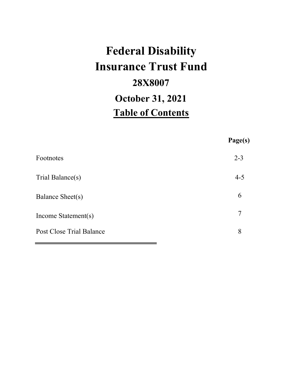# **Federal Disability Insurance Trust Fund 28X8007 October 31, 2021 Table of Contents**

|                          | Page(s) |
|--------------------------|---------|
| Footnotes                | $2 - 3$ |
| Trial Balance(s)         | $4 - 5$ |
| Balance Sheet(s)         | 6       |
| Income Statement(s)      |         |
| Post Close Trial Balance | 8       |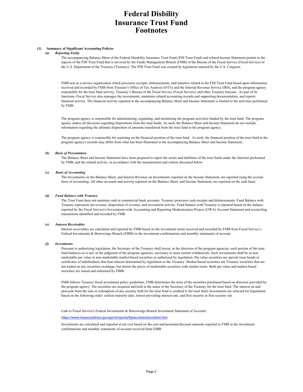# **Federal Disbility Insurance Trust Fund Footnotes**

#### **(1) Summary of Significant Accounting Policies**

#### *(a) Reporting Entity*

The accompanying Balance Sheet of the Federal Disability Insurance Trust Fund (FDI Trust Fund) and related Income Statement pertain to the aspects of the FDI Trust Fund that is serviced by the Funds Management Branch (FMB) of the Bureau of the Fiscal Service (Fiscal Service) of the U.S. Department of the Treasury (Treasury). The FDI Trust Fund was created by legislation enacted by the U.S. Congress.

FMB acts as a service organization which processes receipts, disbursements, and transfers related to the FDI Trust Fund based upon information received and recorded by FMB from Treasury's Office of Tax Analysis (OTA) and the Internal Revenue Service (IRS), and the program agency responsible for the trust fund activity, Treasury's Bureau of the Fiscal Service (Fiscal Service), and other Treasury bureaus. As part of its functions, Fiscal Service also manages the investments, maintains related accounting records and supporting documentation, and reports financial activity. The financial activity reported in the accompanying Balance Sheet and Income Statement is limited to the activities performed by FMB.

The program agency is responsible for administering, regulating, and monitoring the program activities funded by the trust fund. The program agency makes all decisions regarding dispositions from the trust funds. As such, the Balance Sheet and Income Statement do not include information regarding the ultimate disposition of amounts transferred from the trust fund to the program agency.

The program agency is responsible for reporting on the financial position of the trust fund. As such, the financial position of the trust fund in the program agency's records may differ from what has been illustrated in the accompanying Balance Sheet and Income Statement.

#### *(b) Basis of Presentation*

The Balance Sheet and Income Statement have been prepared to report the assets and liabilities of the trust funds under the function performed by FMB, and the related activity, in accordance with the measurement and criteria discussed below.

#### *(c) Basis of Accounting*

The Investments on the Balance Sheet, and Interest Revenue on Investments reported on the Income Statement, are reported using the accrual basis of accounting. All other accounts and activity reported on the Balance Sheet, and Income Statement, are reported on the cash basis.

#### *(d) Fund Balance with Treasury*

The Trust Fund does not maintain cash in commercial bank accounts. Treasury processes cash receipts and disbursements. Fund Balance with Treasury represents net revenue, disposition of revenue, and investment activity. Fund balance with Treasury is reported based on the balance reported by the Fiscal Service's Government-wide Accounting and Reporting Modernization Project (GWA) Account Statement and reconciling transactions identified and recorded by FMB.

#### *(e) Interest Receivables*

Interest receivables are calculated and reported by FMB based on the investment terms received and recorded by FMB from Fiscal Service's Federal Investments & Borrowings Branch (FIBB) in the investment confirmations and monthly statements of account.

#### *(f) Investments*

Pursuant to authorizing legislation, the Secretary of the Treasury shall invest, at the direction of the program agencies, such portion of the trust fund balances as is not, in the judgment of the program agencies, necessary to meet current withdrawals. Such investments shall be in nonmarketable par value or non-marketable market-based securities as authorized by legislation. Par value securities are special issue bonds or certificates of indebtedness that bear interest determined by legislation or the Treasury. Market-based securities are Treasury securities that are not traded on any securities exchange, but mirror the prices of marketable securities with similar terms. Both par value and market-based securities are issued and redeemed by FIBB.

FMB follows Treasury fiscal investment policy guidelines. FMB determines the term of the securities purchased based on direction provided by the program agency. The securities are acquired and held in the name of the Secretary of the Treasury for the trust fund. The interest on and proceeds from the sale or redemption of any security held for the trust fund is credited to the trust fund. Investments are selected for liquidation based on the following order: earliest maturity date, lowest prevailing interest rate, and first security in first security out.

Link to Fiscal Service's Federal Investments & Borrowings Branch Investment Statement of Account:

#### **https://www.treasurydirect.gov/govt/reports/fip/acctstmt/acctstmt.htm**

Investments are calculated and reported at net cost based on the cost and premium/discount amounts reported to FMB in the investment confirmations and monthly statements of account received from FIBB.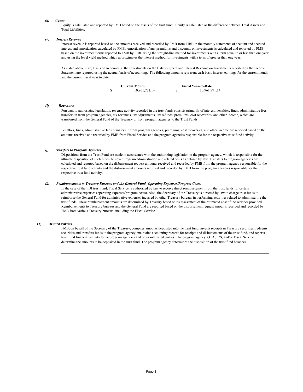#### *(g) Equity*

Equity is calculated and reported by FMB based on the assets of the trust fund. Equity is calculated as the difference between Total Assets and Total Liabilities.

#### *(h) Interest Revenue*

Interest revenue is reported based on the amounts received and recorded by FMB from FIBB in the monthly statements of account and accrued interest and amortization calculated by FMB. Amortization of any premiums and discounts on investments is calculated and reported by FMB based on the investment terms reported to FMB by FIBB using the straight-line method for investments with a term equal to or less than one year and using the level yield method which approximates the interest method for investments with a term of greater than one year.

As stated above in (c) Basis of Accounting, the Investments on the Balance Sheet and Interest Revenue on Investments reported on the Income Statement are reported using the accrual basis of accounting. The following amounts represent cash basis interest earnings for the current month and the current fiscal year to date.

> \$ 10,961,771.14 **Current Month Fiscal Year-to-Date** \$ 10,961,771.14

#### *(i) Revenues*

Pursuant to authorizing legislation, revenue activity recorded in the trust funds consists primarily of interest, penalties, fines, administrative fees, transfers in from program agencies, tax revenues, tax adjustments, tax refunds, premiums, cost recoveries, and other income, which are transferred from the General Fund of the Treasury or from program agencies to the Trust Funds.

Penalties, fines, administrative fees, transfers in from program agencies, premiums, cost recoveries, and other income are reported based on the amounts received and recorded by FMB from Fiscal Service and the program agencies responsible for the respective trust fund activity.

#### *(j) Transfers to Program Agencies*

Dispositions from the Trust Fund are made in accordance with the authorizing legislation to the program agency, which is responsible for the ultimate disposition of such funds, to cover program administration and related costs as defined by law. Transfers to program agencies are calculated and reported based on the disbursement request amounts received and recorded by FMB from the program agency responsible for the respective trust fund activity and the disbursement amounts returned and recorded by FMB from the program agencies responsible for the respective trust fund activity.

#### *(k) Reimbursements to Treasury Bureaus and the General Fund (Operating Expenses/Program Costs)*

In the case of the FDI trust fund, Fiscal Service is authorized by law to receive direct reimbursement from the trust funds for certain administrative expenses (operating expenses/program costs). Also, the Secretary of the Treasury is directed by law to charge trust funds to reimburse the General Fund for administrative expenses incurred by other Treasury bureaus in performing activities related to administering the trust funds. These reimbursement amounts are determined by Treasury based on its assessment of the estimated cost of the services provided. Reimbursements to Treasury bureaus and the General Fund are reported based on the disbursement request amounts received and recorded by FMB from various Treasury bureaus, including the Fiscal Service.

#### **(2) Related Parties**

FMB, on behalf of the Secretary of the Treasury, compiles amounts deposited into the trust fund, invests receipts in Treasury securities, redeems securities and transfers funds to the program agency, maintains accounting records for receipts and disbursements of the trust fund, and reports trust fund financial activity to the program agencies and other interested parties. The program agency, OTA, IRS, and/or Fiscal Service determine the amounts to be deposited in the trust fund. The program agency determines the disposition of the trust fund balances.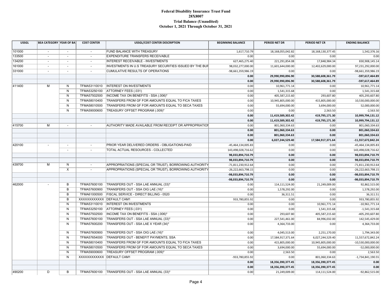#### **Federal Disability Insurance Trust Fund 28X8007 Trial Balance (Unaudited) October 1, 2021 Through October 31, 2021**

| <b>USSGL</b> | <b>BEA CATEGORY YEAR OF BA</b> |                | <b>COST CENTER</b>       | <b>USSGL/COST CENTER DESCRIPTION</b>                     | <b>BEGINNING BALANCE</b> | PERIOD NET DR     | PERIOD NET CR     | <b>ENDING BALANCE</b> |
|--------------|--------------------------------|----------------|--------------------------|----------------------------------------------------------|--------------------------|-------------------|-------------------|-----------------------|
| 101000       | $\sim$                         | $\sim$         | $\sim$                   | <b>FUND BALANCE WITH TREASURY</b>                        | 1,617,710.79             | 18,168,055,042.82 | 18,168,130,377.45 | 1,542,376.16          |
| 133500       | $\sim$                         | $\sim$         | $\sim$                   | <b>EXPENDITURE TRANSFERS RECEIVABLE</b>                  | 0.00                     | 0.00              | 0.00              | 0.00                  |
| 134200       |                                | $\sim$         |                          | <b>INTEREST RECEIVABLE - INVESTMENTS</b>                 | 627,465,275.40           | 221,291,854.08    | 17,848,984.34     | 830,908,145.14        |
| 161000       |                                | $\sim$         | $\sim$                   | INVESTMENTS IN U.S TREASURY SECURITIES ISSUED BY THE BUR | 98,032,277,000.00        | 11,601,644,000.00 | 12,402,629,000.00 | 97,231,292,000.00     |
| 331000       |                                | $\sim$         |                          | <b>CUMULATIVE RESULTS OF OPERATIONS</b>                  | -98,661,359,986.19       | 0.00              | 0.00              | -98,661,359,986.19    |
|              |                                |                |                          |                                                          | 0.00                     | 29,990,990,896.90 | 30,588,608,361.79 | -597,617,464.89       |
|              |                                |                |                          |                                                          | 0.00                     | 29,990,990,896.90 | 30,588,608,361.79 | -597,617,464.89       |
| 411400       | M                              | N              | TFMA53110010             | <b>INTEREST ON INVESTMENTS</b>                           | 0.00                     | 10,961,771.14     | 0.00              | 10,961,771.14         |
|              |                                | N              | TFMA53250100             | ATTORNEY FEES (.031)                                     | 0.00                     | 1,541,315.68      | 0.00              | 1,541,315.68          |
|              |                                | N              | TFMA57502500             | INCOME TAX ON BENEFITS - SSA (.006)*                     | 0.00                     | 405,587,215.60    | 293,607.80        | 405,293,607.80        |
|              |                                | N              | TFMA58010400             | TRANSFERS FROM GF FOR AMOUNTS EQUAL TO FICA TAXES        | 0.00                     | 10,945,805,000.00 | 415,805,000.00    | 10,530,000,000.00     |
|              |                                | $\mathsf{N}$   | TFMA58010500             | TRANSFERS FROM GF FOR AMOUNTS EQUAL TO SECA TAXES        | 0.00                     | 55,694,000.00     | 3,694,000.00      | 52,000,000.00         |
|              |                                | N              | TFMA59000600             | TREASURY OFFSET PROGRAM (.009)*                          | 0.00                     | 0.00              | 2,563.50          | $-2,563.50$           |
|              |                                |                |                          |                                                          | 0.00                     | 11,419,589,302.42 | 419,795,171.30    | 10,999,794,131.12     |
|              |                                |                |                          |                                                          | 0.00                     | 11,419,589,302.42 | 419,795,171.30    | 10,999,794,131.12     |
| 415700       | M                              | $\blacksquare$ |                          | AUTHORITY MADE AVAILABLE FROM RECEIPT OR APPROPRIATION   | 0.00                     | 801,060,334.63    | 0.00              | 801,060,334.63        |
|              |                                |                |                          |                                                          | 0.00                     | 801,060,334.63    | 0.00              | 801,060,334.63        |
|              |                                |                |                          |                                                          | 0.00                     | 801,060,334.63    | 0.00              | 801,060,334.63        |
|              |                                |                |                          |                                                          | 0.00                     | 6,027,244,529.40  | 17,584,917,371.64 | $-11,557,672,842.24$  |
| 420100       |                                | $\sim$         | $\sim$                   | PRIOR YEAR DELIVERED ORDERS - OBLIGATIONS-PAID           | -45,464,134,005.83       | 0.00              | 0.00              | -45,464,134,005.83    |
|              |                                | $\sim$         |                          | TOTAL ACTUAL RESOURCES - COLLECTED                       | 143,498,028,716.62       | 0.00              | 0.00              | 143,498,028,716.62    |
|              |                                |                |                          |                                                          | 98,033,894,710.79        | 0.00              | 0.00              | 98,033,894,710.79     |
|              |                                |                |                          |                                                          | 98,033,894,710.79        | 0.00              | 0.00              | 98,033,894,710.79     |
| 439700       | M                              | N              |                          | APPROPRIATIONS (SPECIAL OR TRUST), BORROWING AUTHORITY   | -71,811,230,912.64       | 0.00              | 0.00              | -71,811,230,912.64    |
|              |                                | X              |                          | APPROPRIATIONS (SPECIAL OR TRUST), BORROWING AUTHORITY   | -26,222,663,798.15       | 0.00              | 0.00              | -26,222,663,798.15    |
|              |                                |                |                          |                                                          | -98,033,894,710.79       | 0.00              | 0.00              | -98,033,894,710.79    |
|              |                                |                |                          |                                                          | -98,033,894,710.79       | 0.00              | 0.00              | -98,033,894,710.79    |
| 462000       |                                | B              | TFMA57600100             | TRANSFERS OUT - SSA LAE ANNUAL (33)*                     | 0.00                     | 114,111,524.00    | 21,249,009.00     | 92,862,515.00         |
|              |                                | B              | TFMA57600900             | TRANSFERS OUT - SSA OIG LAE (16)*                        | 0.00                     | 1,578,292.00      | 0.00              | 1,578,292.00          |
|              |                                | B              | TFMA61000500             | FISCAL SERVICE - DIRECT BILLING - 0520                   | 0.00                     | 36,311.51         | 0.00              | 36,311.51             |
|              |                                | B              | XXXXXXXXXXX DEFAULT CAM1 |                                                          | 933,780,855.92           | 0.00              | 0.00              | 933,780,855.92        |
|              |                                | N              | TFMA53110010             | <b>INTEREST ON INVESTMENTS</b>                           | 0.00                     | 0.00              | 10,961,771.14     | $-10,961,771.14$      |
|              |                                | N              | TFMA53250100             | ATTORNEY FEES (.031)                                     | 0.00                     | 0.00              | 1,541,315.68      | $-1,541,315.68$       |
|              |                                | N              | TFMA57502500             | INCOME TAX ON BENEFITS - SSA (.006)*                     | 0.00                     | 293,607.80        | 405,587,215.60    | -405,293,607.80       |
|              |                                | $\mathsf{N}$   | TFMA57600100             | TRANSFERS OUT - SSA LAE ANNUAL (33)*                     | 0.00                     | 227,541,461.00    | 84,996,032.00     | 142,545,429.00        |
|              |                                | $\mathsf{N}$   | TFMA57600200             | TRANSFERS OUT - SSA LAE X YEAR (34)*                     | 0.00                     | 4,364,733.00      | 0.00              | 4,364,733.00          |
|              |                                | N              | TFMA57600900             | TRANSFERS OUT - SSA OIG LAE (16)*                        | 0.00                     | 4,045,513.00      | 2,251,170.00      | 1,794,343.00          |
|              |                                | N              | TFMA57654000             | TRANSFERS OUT - BENEFIT PAYMENTS, SSA                    | 0.00                     | 17,584,917,371.64 | 6,027,244,529.40  | 11,557,672,842.24     |
|              |                                | N              | TFMA58010400             | TRANSFERS FROM GF FOR AMOUNTS EQUAL TO FICA TAXES        | 0.00                     | 415,805,000.00    | 10,945,805,000.00 | $-10,530,000,000.00$  |
|              |                                | N              | TFMA58010500             | TRANSFERS FROM GF FOR AMOUNTS EQUAL TO SECA TAXES        | 0.00                     | 3,694,000.00      | 55,694,000.00     | $-52,000,000.00$      |
|              |                                | N              | TFMA59000600             | TREASURY OFFSET PROGRAM (.009)*                          | 0.00                     | 2,563.50          | 0.00              | 2,563.50              |
|              |                                | N              | XXXXXXXXXXX DEFAULT CAM1 |                                                          | -933,780,855.92          | 0.00              | 801,060,334.63    | $-1,734,841,190.55$   |
|              |                                |                |                          |                                                          | 0.00                     | 18,356,390,377.45 | 18,356,390,377.45 | 0.00                  |
|              |                                |                |                          |                                                          | 0.00                     | 18,356,390,377.45 | 18,356,390,377.45 | 0.00                  |
| 490200       | D                              | B              |                          | TFMA57600100   TRANSFERS OUT - SSA LAE ANNUAL (33)*      | 0.00                     | 21,249,009.00     | 114,111,524.00    | $-92,862,515.00$      |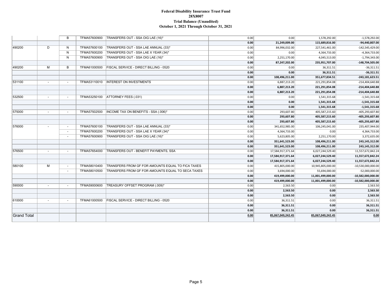#### **Federal Disability Insurance Trust Fund 28X8007 Trial Balance (Unaudited) October 1, 2021 Through October 31, 2021**

|                    |                          | B                        |              | TFMA57600900   TRANSFERS OUT - SSA OIG LAE (16)*  | 0.00 | 0.00              | 1,578,292.00      | $-1,578,292.00$      |
|--------------------|--------------------------|--------------------------|--------------|---------------------------------------------------|------|-------------------|-------------------|----------------------|
|                    |                          |                          |              |                                                   | 0.00 | 21,249,009.00     | 115,689,816.00    | $-94,440,807.00$     |
| 490200             | D                        | N                        | TFMA57600100 | TRANSFERS OUT - SSA LAE ANNUAL (33)*              | 0.00 | 84,996,032.00     | 227,541,461.00    | $-142,545,429.00$    |
|                    |                          | N                        | TFMA57600200 | TRANSFERS OUT - SSA LAE X YEAR (34)*              | 0.00 | 0.00              | 4,364,733.00      | $-4,364,733.00$      |
|                    |                          | N                        | TFMA57600900 | TRANSFERS OUT - SSA OIG LAE (16)*                 | 0.00 | 2,251,170.00      | 4,045,513.00      | $-1,794,343.00$      |
|                    |                          |                          |              |                                                   | 0.00 | 87,247,202.00     | 235,951,707.00    | $-148,704,505.00$    |
| 490200             | M                        | B                        | TFMA61000500 | FISCAL SERVICE - DIRECT BILLING - 0520            | 0.00 | 0.00              | 36,311.51         | $-36,311.51$         |
|                    |                          |                          |              |                                                   | 0.00 | 0.00              | 36,311.51         | $-36,311.51$         |
|                    |                          |                          |              |                                                   | 0.00 | 108,496,211.00    | 351,677,834.51    | $-243,181,623.51$    |
| 531100             | $\overline{\phantom{a}}$ |                          | TFMA53110010 | <b>INTEREST ON INVESTMENTS</b>                    | 0.00 | 6,887,213.20      | 221,291,854.08    | $-214,404,640.88$    |
|                    |                          |                          |              |                                                   | 0.00 | 6,887,213.20      | 221,291,854.08    | $-214,404,640.88$    |
|                    |                          |                          |              |                                                   | 0.00 | 6,887,213.20      | 221,291,854.08    | $-214,404,640.88$    |
| 532500             | $\sim$                   | $\overline{\phantom{a}}$ |              | TFMA53250100   ATTORNEY FEES (.031)               | 0.00 | 0.00              | 1,541,315.68      | $-1,541,315.68$      |
|                    |                          |                          |              |                                                   | 0.00 | 0.00              | 1,541,315.68      | $-1,541,315.68$      |
|                    |                          |                          |              |                                                   | 0.00 | 0.00              | 1,541,315.68      | $-1,541,315.68$      |
| 575000             | $\sim$                   |                          | TFMA57502500 | INCOME TAX ON BENEFITS - SSA (.006)*              | 0.00 | 293,607.80        | 405,587,215.60    | $-405,293,607.80$    |
|                    |                          |                          |              |                                                   | 0.00 | 293,607.80        | 405,587,215.60    | $-405,293,607.80$    |
|                    |                          |                          |              |                                                   | 0.00 | 293,607.80        | 405,587,215.60    | $-405,293,607.80$    |
| 576000             |                          |                          | TFMA57600100 | TRANSFERS OUT - SSA LAE ANNUAL (33)*              | 0.00 | 341,652,985.00    | 106,245,041.00    | 235,407,944.00       |
|                    |                          |                          | TFMA57600200 | TRANSFERS OUT - SSA LAE X YEAR (34)*              | 0.00 | 4,364,733.00      | 0.00              | 4,364,733.00         |
|                    |                          |                          | TFMA57600900 | TRANSFERS OUT - SSA OIG LAE (16)*                 | 0.00 | 5,623,805.00      | 2,251,170.00      | 3,372,635.00         |
|                    |                          |                          |              |                                                   | 0.00 | 351,641,523.00    | 108,496,211.00    | 243,145,312.00       |
|                    |                          |                          |              |                                                   | 0.00 | 351,641,523.00    | 108,496,211.00    | 243,145,312.00       |
| 576500             | ÷.                       |                          | TFMA57654000 | TRANSFERS OUT - BENEFIT PAYMENTS, SSA             | 0.00 | 17,584,917,371.64 | 6,027,244,529.40  | 11,557,672,842.24    |
|                    |                          |                          |              |                                                   | 0.00 | 17,584,917,371.64 | 6,027,244,529.40  | 11,557,672,842.24    |
|                    |                          |                          |              |                                                   | 0.00 | 17,584,917,371.64 | 6,027,244,529.40  | 11,557,672,842.24    |
| 580100             | M                        | $\sim$                   | TFMA58010400 | TRANSFERS FROM GF FOR AMOUNTS EQUAL TO FICA TAXES | 0.00 | 415,805,000.00    | 10,945,805,000.00 | $-10,530,000,000.00$ |
|                    |                          |                          | TFMA58010500 | TRANSFERS FROM GF FOR AMOUNTS EQUAL TO SECA TAXES | 0.00 | 3,694,000.00      | 55,694,000.00     | $-52,000,000.00$     |
|                    |                          |                          |              |                                                   | 0.00 | 419,499,000.00    | 11,001,499,000.00 | $-10,582,000,000.00$ |
|                    |                          |                          |              |                                                   | 0.00 | 419,499,000.00    | 11,001,499,000.00 | $-10,582,000,000.00$ |
| 590000             | $\sim$                   | $\ddot{\phantom{1}}$     | TFMA59000600 | TREASURY OFFSET PROGRAM (.009)*                   | 0.00 | 2,563.50          | 0.00              | 2,563.50             |
|                    |                          |                          |              |                                                   | 0.00 | 2,563.50          | 0.00              | 2,563.50             |
|                    |                          |                          |              |                                                   | 0.00 | 2,563.50          | 0.00              | 2,563.50             |
| 610000             | $\sim$                   | $\blacksquare$           | TFMA61000500 | <b>FISCAL SERVICE - DIRECT BILLING - 0520</b>     | 0.00 | 36,311.51         | 0.00              | 36,311.51            |
|                    |                          |                          |              |                                                   | 0.00 | 36,311.51         | 0.00              | 36,311.51            |
|                    |                          |                          |              |                                                   | 0.00 | 36,311.51         | 0.00              | 36,311.51            |
| <b>Grand Total</b> |                          |                          |              |                                                   | 0.00 | 85,067,049,242.45 | 85,067,049,242.45 | 0.00                 |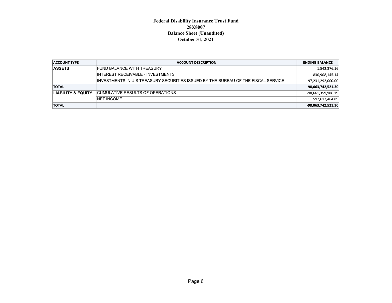## **Federal Disability Insurance Trust Fund 28X8007Balance Sheet (Unaudited) October 31, 2021**

| <b>ACCOUNT TYPE</b>           | <b>ACCOUNT DESCRIPTION</b>                                                        | <b>ENDING BALANCE</b> |  |  |  |  |
|-------------------------------|-----------------------------------------------------------------------------------|-----------------------|--|--|--|--|
| <b>ASSETS</b>                 | FUND BALANCE WITH TREASURY                                                        |                       |  |  |  |  |
|                               | INTEREST RECEIVABLE - INVESTMENTS                                                 | 830,908,145.14        |  |  |  |  |
|                               | INVESTMENTS IN U.S TREASURY SECURITIES ISSUED BY THE BUREAU OF THE FISCAL SERVICE | 97,231,292,000.00     |  |  |  |  |
| <b>TOTAL</b>                  |                                                                                   | 98,063,742,521.30     |  |  |  |  |
| <b>LIABILITY &amp; EQUITY</b> | CUMULATIVE RESULTS OF OPERATIONS                                                  | -98,661,359,986.19    |  |  |  |  |
|                               | <b>INET INCOME</b>                                                                | 597,617,464.89        |  |  |  |  |
| <b>TOTAL</b>                  |                                                                                   | -98,063,742,521.30    |  |  |  |  |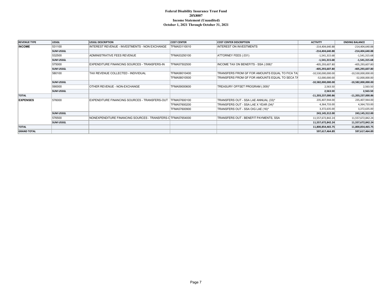#### **Federal Disability Insurance Trust Fund 28X8007 Income Statement (Unaudited) October 1, 2021 Through October 31, 2021**

| <b>REVENUE TYPE</b> | <b>USSGL</b>     | <b>USSGL DESCRIPTION</b>                                    | <b>COST CENTER</b> | <b>COST CENTER DESCRIPTION</b>                  | <b>ACTIVITY</b>      | <b>ENDING BALANCE</b> |
|---------------------|------------------|-------------------------------------------------------------|--------------------|-------------------------------------------------|----------------------|-----------------------|
| <b>INCOME</b>       | 531100           | INTEREST REVENUE - INVESTMENTS - NON EXCHANGE               | FFMA53110010       | <b>INTEREST ON INVESTMENTS</b>                  | $-214,404,640.88$    | $-214,404,640.88$     |
|                     | <b>SUM USSGL</b> |                                                             |                    |                                                 | $-214,404,640.88$    | -214,404,640.88       |
|                     | 532500           | ADMINISTRATIVE FEES REVENUE                                 | TFMA53250100       | ATTORNEY FEES (.031)                            | $-1,541,315.68$      | $-1,541,315.68$       |
|                     | <b>SUM USSGL</b> |                                                             |                    |                                                 | $-1,541,315.68$      | $-1,541,315.68$       |
|                     | 575000           | EXPENDITURE FINANCING SOURCES - TRANSFERS-IN                | TFMA57502500       | INCOME TAX ON BENEFITS - SSA (.006)*            | $-405,293,607.80$    | -405,293,607.80       |
|                     | <b>SUM USSGL</b> |                                                             |                    |                                                 | -405,293,607.80      | -405,293,607.80       |
|                     | 580100           | TAX REVENUE COLLECTED - INDIVIDUAL                          | TFMA58010400       | TRANSFERS FROM GF FOR AMOUNTS EQUAL TO FICA TA! | $-10,530,000,000.00$ | $-10,530,000,000.00$  |
|                     |                  |                                                             | TFMA58010500       | TRANSFERS FROM GF FOR AMOUNTS EQUAL TO SECA TA  | $-52,000,000.00$     | $-52,000,000.00$      |
|                     | <b>SUM USSGL</b> |                                                             |                    |                                                 | $-10,582,000,000.00$ | -10,582,000,000.00    |
|                     | 590000           | OTHER REVENUE - NON-EXCHANGE                                | TFMA59000600       | TREASURY OFFSET PROGRAM (.009)*                 | 2,563.50             | 2,563.50              |
|                     | <b>SUM USSGL</b> |                                                             |                    |                                                 | 2,563.50             | 2,563.50              |
| <b>TOTAL</b>        |                  |                                                             |                    |                                                 | $-11,203,237,000.86$ | -11,203,237,000.86    |
| <b>EXPENSES</b>     | 576000           | EXPENDITURE FINANCING SOURCES - TRANSFERS-OUT               | TFMA57600100       | TRANSFERS OUT - SSA LAE ANNUAL (33)*            | 235,407,944.00       | 235,407,944.00        |
|                     |                  |                                                             | TFMA57600200       | TRANSFERS OUT - SSA LAE X YEAR (34)*            | 4,364,733.00         | 4,364,733.00          |
|                     |                  |                                                             | TFMA57600900       | TRANSFERS OUT - SSA OIG LAE (16)*               | 3,372,635.00         | 3,372,635.00          |
|                     | <b>SUM USSGL</b> |                                                             |                    |                                                 | 243,145,312.00       | 243,145,312.00        |
|                     | 576500           | NONEXPENDITURE FINANCING SOURCES - TRANSFERS-CITFMA57654000 |                    | TRANSFERS OUT - BENEFIT PAYMENTS, SSA           | 11,557,672,842.24    | 11,557,672,842.24     |
|                     | <b>SUM USSGL</b> |                                                             |                    |                                                 | 11,557,672,842.24    | 11,557,672,842.24     |
| <b>TOTAL</b>        |                  |                                                             |                    |                                                 | 11,800,854,465.75    | 11,800,854,465.75     |
| <b>GRAND TOTAL</b>  |                  |                                                             |                    |                                                 | 597,617,464.89       | 597,617,464.89        |